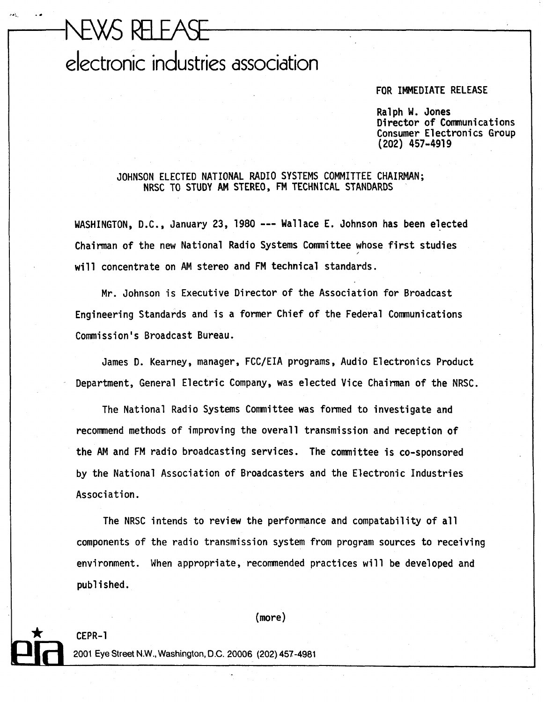## NEWS RELEASE electronic industries association

## FOR IMMEDIATE RELEASE

Ralph W. Jones Director of Communications Consumer Electronics Group **(202) 457-491** 9

 $\mathbf{I}$ 

JOHNSON ELECTED NATIONAL RADIO SYSTEMS COMITTEE CHAIRMAN; NRSC TO STUDY AM STEREO, **FM** TECHNICAL STANDARDS

WASHINGTON, D.C., January 23, 1980 --- Wallace E. Johnson has been elected Chairman of the new National Radio Systems Committee whose first studies **<sup>I</sup>** will concentrate on AM stereo and FM technical standards.

Mr. Johnson is Executive Director of the Association for Broadcast Engineering Standards and is a former Chief of the Federal Communications Commission's Broadcast Bureau.

James D. Kearney, manager, FCC/EIA programs, Audio Electronics Product Department, General Electric Company, was elected Vice Chairman of the NRSC.

The National Radio Systems Committee was formed to investigate and recommend methods of improving the overall transmission and reception of the AM and FM radio broadcasting services. The committee is co-sponsored by the National Association of Broadcasters and the Electronic Industries Association.

The NRSC intends to review the performance and compatability of all components of the radio transmission system from program sources to receiving environment. When appropriate, recommended practices will be developed and published.

## $(more)$